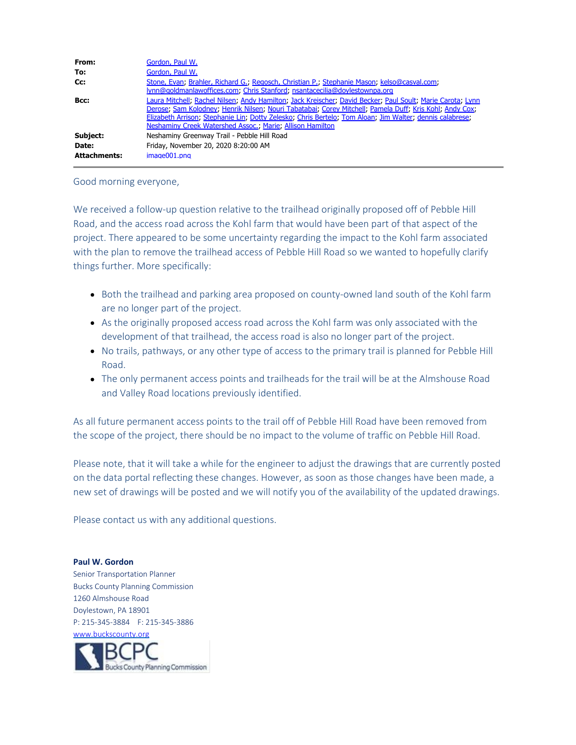| From:               | Gordon, Paul W.                                                                                                                                                                                                                                                                                                                                                                                |
|---------------------|------------------------------------------------------------------------------------------------------------------------------------------------------------------------------------------------------------------------------------------------------------------------------------------------------------------------------------------------------------------------------------------------|
| To:                 | Gordon, Paul W.                                                                                                                                                                                                                                                                                                                                                                                |
| Cc:                 | Stone, Evan; Brahler, Richard G.; Regosch, Christian P.; Stephanie Mason; kelso@casval.com;<br>lynn@goldmanlawoffices.com; Chris Stanford; nsantacecilia@doylestownpa.org                                                                                                                                                                                                                      |
| Bcc:                | Laura Mitchell; Rachel Nilsen; Andy Hamilton; Jack Kreischer; David Becker; Paul Soult; Marie Carota; Lynn<br>Derose; Sam Kolodney; Henrik Nilsen; Nouri Tabatabai; Corey Mitchell; Pamela Duff; Kris Kohl; Andy Cox;<br>Elizabeth Arrison, Stephanie Lin, Dotty Zelesko; Chris Bertelo; Tom Aloan; Jim Walter; dennis calabrese;<br>Neshaminy Creek Watershed Assoc.; Marie; Allison Hamilton |
| Subject:            | Neshaminy Greenway Trail - Pebble Hill Road                                                                                                                                                                                                                                                                                                                                                    |
| Date:               | Friday, November 20, 2020 8:20:00 AM                                                                                                                                                                                                                                                                                                                                                           |
| <b>Attachments:</b> | image001.png                                                                                                                                                                                                                                                                                                                                                                                   |

## Good morning everyone,

We received a follow-up question relative to the trailhead originally proposed off of Pebble Hill Road, and the access road across the Kohl farm that would have been part of that aspect of the project. There appeared to be some uncertainty regarding the impact to the Kohl farm associated with the plan to remove the trailhead access of Pebble Hill Road so we wanted to hopefully clarify things further. More specifically:

- Both the trailhead and parking area proposed on county-owned land south of the Kohl farm are no longer part of the project.
- As the originally proposed access road across the Kohl farm was only associated with the development of that trailhead, the access road is also no longer part of the project.
- No trails, pathways, or any other type of access to the primary trail is planned for Pebble Hill Road.
- The only permanent access points and trailheads for the trail will be at the Almshouse Road and Valley Road locations previously identified.

As all future permanent access points to the trail off of Pebble Hill Road have been removed from the scope of the project, there should be no impact to the volume of traffic on Pebble Hill Road.

Please note, that it will take a while for the engineer to adjust the drawings that are currently posted on the data portal reflecting these changes. However, as soon as those changes have been made, a new set of drawings will be posted and we will notify you of the availability of the updated drawings.

Please contact us with any additional questions.

**Paul W. Gordon** Senior Transportation Planner Bucks County Planning Commission 1260 Almshouse Road Doylestown, PA 18901 P: 215-345-3884 F: 215-345-3886 [www.buckscounty.org](http://www.buckscounty.org/)

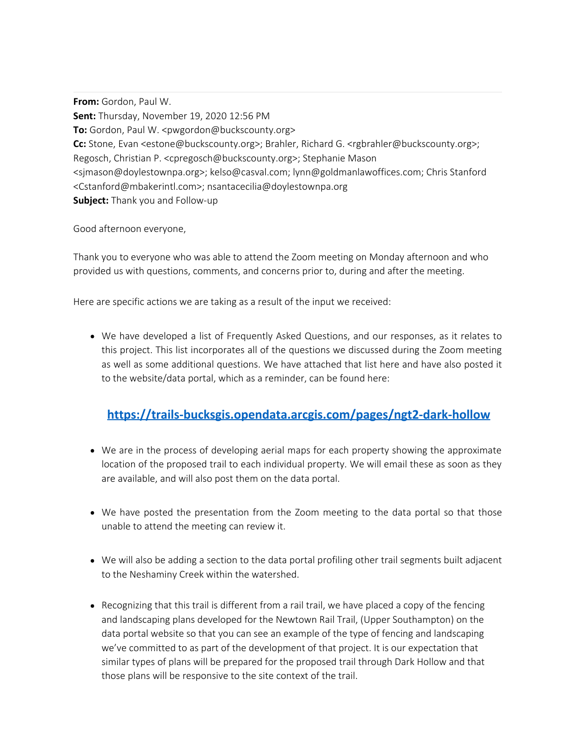**From:** Gordon, Paul W. **Sent:** Thursday, November 19, 2020 12:56 PM **To:** Gordon, Paul W. <pwgordon@buckscounty.org> **Cc:** Stone, Evan <estone@buckscounty.org>; Brahler, Richard G. <rgbrahler@buckscounty.org>; Regosch, Christian P. <cpregosch@buckscounty.org>; Stephanie Mason <sjmason@doylestownpa.org>; kelso@casval.com; lynn@goldmanlawoffices.com; Chris Stanford <Cstanford@mbakerintl.com>; nsantacecilia@doylestownpa.org **Subject:** Thank you and Follow-up

Good afternoon everyone,

Thank you to everyone who was able to attend the Zoom meeting on Monday afternoon and who provided us with questions, comments, and concerns prior to, during and after the meeting.

Here are specific actions we are taking as a result of the input we received:

We have developed a list of Frequently Asked Questions, and our responses, as it relates to this project. This list incorporates all of the questions we discussed during the Zoom meeting as well as some additional questions. We have attached that list here and have also posted it to the website/data portal, which as a reminder, can be found here:

## **[https://trails-bucksgis.opendata.arcgis.com/pages/ngt2-dark-hollow](https://gcc02.safelinks.protection.outlook.com/?url=https%3A%2F%2Ftrails-bucksgis.opendata.arcgis.com%2Fpages%2Fngt2-dark-hollow&data=04%7C01%7Cpwgordon%40buckscounty.org%7C7cbfc77382a148d9245a08d88cb0714c%7C84e2e871e7fc4b00a387ce8840a4e58d%7C0%7C0%7C637414036725318837%7CUnknown%7CTWFpbGZsb3d8eyJWIjoiMC4wLjAwMDAiLCJQIjoiV2luMzIiLCJBTiI6Ik1haWwiLCJXVCI6Mn0%3D%7C1000&sdata=emkPg%2FUQrzjZ47G8qNQZn8Ayw9L5VEGu%2B%2Bsepn0ndBs%3D&reserved=0)**

- We are in the process of developing aerial maps for each property showing the approximate location of the proposed trail to each individual property. We will email these as soon as they are available, and will also post them on the data portal.
- We have posted the presentation from the Zoom meeting to the data portal so that those unable to attend the meeting can review it.
- We will also be adding a section to the data portal profiling other trail segments built adjacent to the Neshaminy Creek within the watershed.
- Recognizing that this trail is different from a rail trail, we have placed a copy of the fencing and landscaping plans developed for the Newtown Rail Trail, (Upper Southampton) on the data portal website so that you can see an example of the type of fencing and landscaping we've committed to as part of the development of that project. It is our expectation that similar types of plans will be prepared for the proposed trail through Dark Hollow and that those plans will be responsive to the site context of the trail.